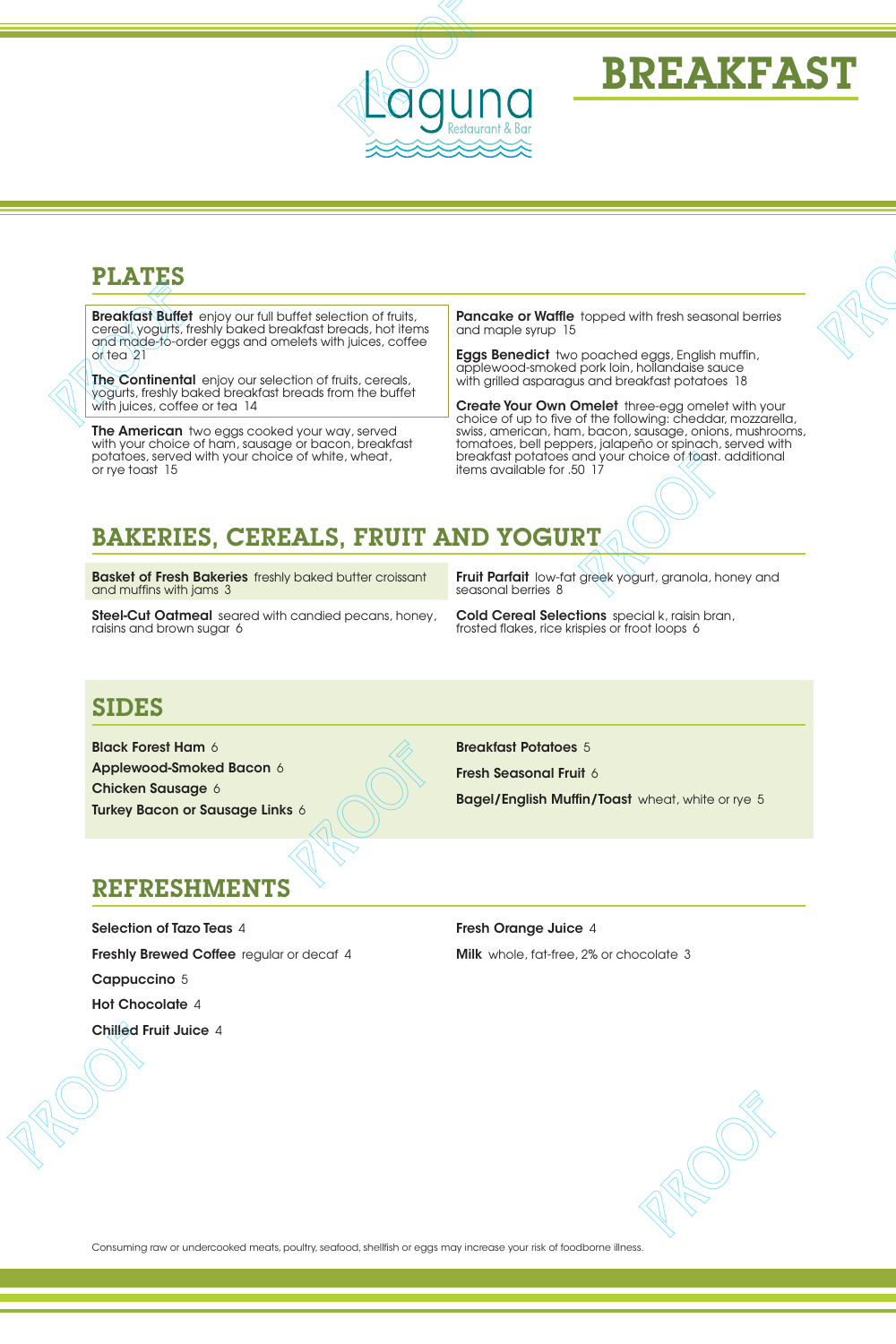

# BREAKFAST

## PLATES

**Breakfast Buffet** enjoy our full buffet selection of fruits, cereal, yogurts, freshly baked breakfast breads, hot items and made-to-order eggs and omelets with juices, coffee or tea 21 **PLATES**<br> **PLATES**<br> **PLATES**<br> **PLATES**<br> **PLATES**<br> **PROPERTIES**<br> **PROPERTIES**<br> **PROPERTIES**<br> **PROPERTIES**<br> **PROPERTIES**<br> **PROPERTIES**<br> **PROPERTIES**<br> **PROPERTIES**<br> **PROPERTIES**<br> **PROPERTIES**<br> **PROPERTIES**<br> **PROPERTIES**<br> **PRO** 

The Continental enjoy our selection of fruits, cereals, yogurts, freshly baked breakfast breads from the buffet with juices, coffee or tea 14

**The American** two eggs cooked your way, served with your choice of ham, sausage or bacon, breakfast potatoes, served with your choice of white, wheat, or rye toast 15

Pancake or Waffle topped with fresh seasonal berries and maple syrup 15

Eggs Benedict two poached eggs, English muffin, applewood-smoked pork loin, hollandaise sauce with grilled asparagus and breakfast potatoes 18

**Create Your Own Omelet** three-egg omelet with your choice of up to five of the following: cheddar, mozzarella, swiss, american, ham, bacon, sausage, onions, mushrooms, tomatoes, bell peppers, jalapeño or spinach, served with breakfast potatoes and your choice of toast. additional items available for .50 17 **PROFIT CONTINUES**<br> **PROPERTY AND CONTINUES**<br> **PROPERTY AND CONTINUES**<br> **PROPERTY AND CONTINUES**<br> **PROOF PROOF PROOF PROOF PROOF PROOF PROOF PROPERTY AND CONTINUES**<br> **PROPERTY AND CONTINUES PROPERTY AND CONTINUES PROPERTY** 

## BAKERIES, CEREALS, FRUIT AND YOGURT

**Basket of Fresh Bakeries** freshly baked butter croissant and muffins with jams 3

Steel-Cut Oatmeal seared with candied pecans, honey, raisins and brown sugar 6

Fruit Parfait low-fat greek yogurt, granola, honey and seasonal berries 8 Fruit Perfeit levelations apek yogurt, gronoia, honey and<br>coms, honey. Cold Cereal Selections special k, rain bran,<br>Fosted flates, rice treples or foot loops &<br>Proof profile and the results of foot loops &<br>Proof the Proof

Cold Cereal Selections special k, raisin bran, frosted flakes, rice krispies or froot loops 6

### SIDES

Black Forest Ham 6 Applewood-Smoked Bacon 6 Chicken Sausage 6 Turkey Bacon or Sausage Links 6 Breakfast Potatoes 5

Fresh Seasonal Fruit 6

**Bagel/English Muffin/Toast** wheat, white or rye 5

PROOF PROOF PROOF PROOF

#### REFRESHMENTS

Selection of Tazo Teas 4 Freshly Brewed Coffee regular or decaf 4 Cappuccino 5 Hot Chocolate 4 Chilled Fruit Juice 4 **PLATES**<br> **Exception the state of the state of the state of the state of the state of the state of the state of the state of the state of the state of the state of the state of the state of the state of the state of the s** 

Fresh Orange Juice 4 Milk whole, fat-free, 2% or chocolate 3

Consuming raw or undercooked meats, poultry, seafood, shellfish or eggs may increase your risk of foodborne illness.